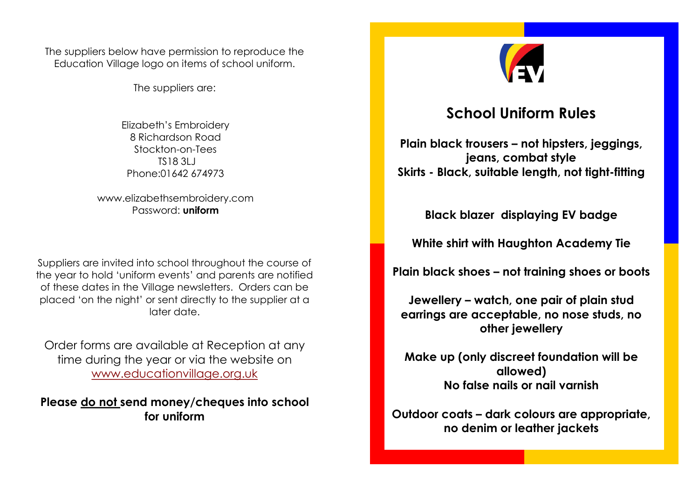The suppliers below have permission to reproduce the Education Village logo on items of school uniform.

The suppliers are:

Elizabeth's Embroidery 8 Richardson Road Stockton-on-Tees TS18 3LJ Phone:01642 674973

www.elizabethsembroidery.com Password: **uniform**

Suppliers are invited into school throughout the course of the year to hold 'uniform events' and parents are notified of these dates in the Village newsletters. Orders can be placed 'on the night' or sent directly to the supplier at a later date.

Order forms are available at Reception at any time during the year or via the website on [www.educationvillage.org.uk](http://www.educationvillage.org.uk/)

**Please do not send money/cheques into school for uniform**



## **School Uniform Rules**

**Plain black trousers – not hipsters, jeggings, jeans, combat style Skirts - Black, suitable length, not tight-fitting**

**Black blazer displaying EV badge**

**White shirt with Haughton Academy Tie**

**Plain black shoes – not training shoes or boots**

**Jewellery – watch, one pair of plain stud earrings are acceptable, no nose studs, no other jewellery**

**Make up (only discreet foundation will be allowed) No false nails or nail varnish**

**Outdoor coats – dark colours are appropriate, no denim or leather jackets**